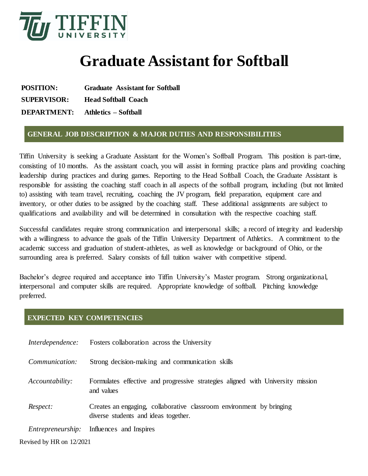

# **Graduate Assistant for Softball**

**POSITION: Graduate Assistant for Softball SUPERVISOR: Head Softball Coach DEPARTMENT: Athletics – Softball**

## **GENERAL JOB DESCRIPTION & MAJOR DUTIES AND RESPONSIBILITIES**

Tiffin University is seeking a Graduate Assistant for the Women's Softball Program. This position is part-time, consisting of 10 months. As the assistant coach, you will assist in forming practice plans and providing coaching leadership during practices and during games. Reporting to the Head Softball Coach, the Graduate Assistant is responsible for assisting the coaching staff coach in all aspects of the softball program, including (but not limited to) assisting with team travel, recruiting, coaching the JV program, field preparation, equipment care and inventory, or other duties to be assigned by the coaching staff. These additional assignments are subject to qualifications and availability and will be determined in consultation with the respective coaching staff.

Successful candidates require strong communication and interpersonal skills; a record of integrity and leadership with a willingness to advance the goals of the Tiffin University Department of Athletics. A commitment to the academic success and graduation of student-athletes, as well as knowledge or background of Ohio, or the surrounding area is preferred. Salary consists of full tuition waiver with competitive stipend.

Bachelor's degree required and acceptance into Tiffin University's Master program. Strong organizational, interpersonal and computer skills are required. Appropriate knowledge of softball. Pitching knowledge preferred.

### **EXPECTED KEY COMPETENCIES**

| Interdependence:         | Fosters collaboration across the University                                                                  |
|--------------------------|--------------------------------------------------------------------------------------------------------------|
| Communication:           | Strong decision-making and communication skills                                                              |
| Accountability:          | Formulates effective and progressive strategies aligned with University mission<br>and values                |
| Respect:                 | Creates an engaging, collaborative classroom environment by bringing<br>diverse students and ideas together. |
| <i>Entrepreneurship:</i> | Influences and Inspires                                                                                      |
| Revised by HR on 12/2021 |                                                                                                              |